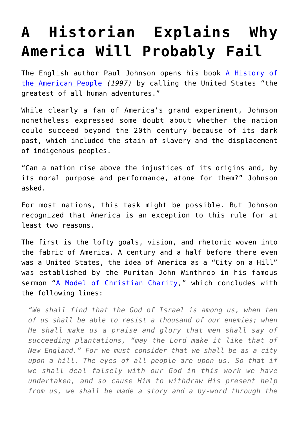## **[A Historian Explains Why](https://intellectualtakeout.org/2017/10/a-historian-explains-why-america-will-probably-fail/) [America Will Probably Fail](https://intellectualtakeout.org/2017/10/a-historian-explains-why-america-will-probably-fail/)**

The English author Paul Johnson opens his book [A History of](http://amzn.to/2zB2QTh) [the American People](http://amzn.to/2zB2QTh) *(1997)* by calling the United States "the greatest of all human adventures."

While clearly a fan of America's grand experiment, Johnson nonetheless expressed some doubt about whether the nation could succeed beyond the 20th century because of its dark past, which included the stain of slavery and the displacement of indigenous peoples.

"Can a nation rise above the injustices of its origins and, by its moral purpose and performance, atone for them?" Johnson asked.

For most nations, this task might be possible. But Johnson recognized that America is an exception to this rule for at least two reasons.

The first is the lofty goals, vision, and rhetoric woven into the fabric of America. A century and a half before there even was a United States, the idea of America as a "City on a Hill" was established by the Puritan John Winthrop in his famous sermon "[A Model of Christian Charity](https://www.winthropsociety.com/doc_charity.php)," which concludes with the following lines:

*"We shall find that the God of Israel is among us, when ten of us shall be able to resist a thousand of our enemies; when He shall make us a praise and glory that men shall say of succeeding plantations, "may the Lord make it like that of New England." For we must consider that we shall be as a city upon a hill. The eyes of all people are upon us. So that if we shall deal falsely with our God in this work we have undertaken, and so cause Him to withdraw His present help from us, we shall be made a story and a by-word through the*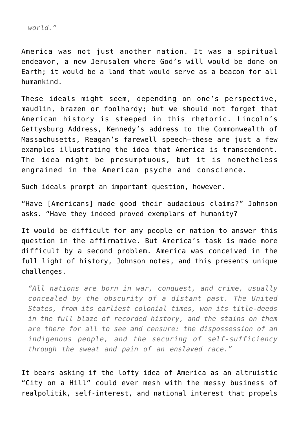*world."*

America was not just another nation. It was a spiritual endeavor, a new Jerusalem where God's will would be done on Earth; it would be a land that would serve as a beacon for all humankind.

These ideals might seem, depending on one's perspective, maudlin, brazen or foolhardy; but we should not forget that American history is steeped in this rhetoric. Lincoln's Gettysburg Address, Kennedy's address to the Commonwealth of Massachusetts, Reagan's farewell speech—these are just a few examples illustrating the idea that America is transcendent. The idea might be presumptuous, but it is nonetheless engrained in the American psyche and conscience.

Such ideals prompt an important question, however.

"Have [Americans] made good their audacious claims?" Johnson asks. "Have they indeed proved exemplars of humanity?

It would be difficult for any people or nation to answer this question in the affirmative. But America's task is made more difficult by a second problem. America was conceived in the full light of history, Johnson notes, and this presents unique challenges.

*"All nations are born in war, conquest, and crime, usually concealed by the obscurity of a distant past. The United States, from its earliest colonial times, won its title-deeds in the full blaze of recorded history, and the stains on them are there for all to see and censure: the dispossession of an indigenous people, and the securing of self-sufficiency through the sweat and pain of an enslaved race."*

It bears asking if the lofty idea of America as an altruistic "City on a Hill" could ever mesh with the messy business of realpolitik, self-interest, and national interest that propels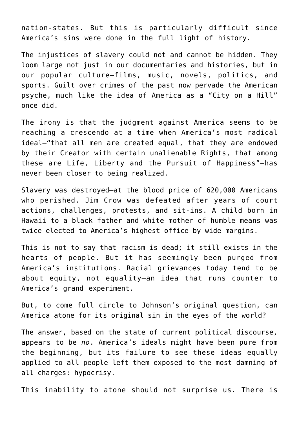nation-states. But this is particularly difficult since America's sins were done in the full light of history.

The injustices of slavery could not and cannot be hidden. They loom large not just in our documentaries and histories, but in our popular culture—films, music, novels, politics, and sports. Guilt over crimes of the past now pervade the American psyche, much like the idea of America as a "City on a Hill" once did.

The irony is that the judgment against America seems to be reaching a crescendo at a time when America's most radical ideal—"that all men are created equal, that they are endowed by their Creator with certain unalienable Rights, that among these are Life, Liberty and the Pursuit of Happiness"—has never been closer to being realized.

Slavery was destroyed—at the blood price of 620,000 Americans who perished. Jim Crow was defeated after years of court actions, challenges, protests, and sit-ins. A child born in Hawaii to a black father and white mother of humble means was twice elected to America's highest office by wide margins.

This is not to say that racism is dead; it still exists in the hearts of people. But it has seemingly been purged from America's institutions. Racial grievances today tend to be about equity, not equality—an idea that runs counter to America's grand experiment.

But, to come full circle to Johnson's original question, can America atone for its original sin in the eyes of the world?

The answer, based on the state of current political discourse, appears to be *no*. America's ideals might have been pure from the beginning, but its failure to see these ideas equally applied to all people left them exposed to the most damning of all charges: hypocrisy.

This inability to atone should not surprise us. There is